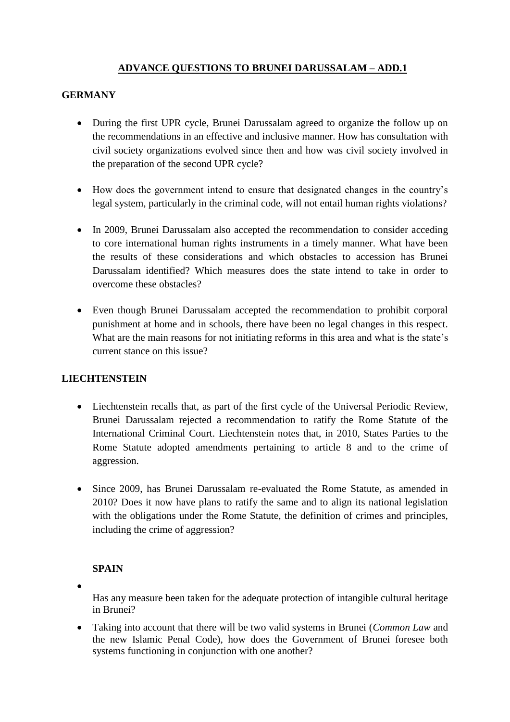## **ADVANCE QUESTIONS TO BRUNEI DARUSSALAM – ADD.1**

## **GERMANY**

- During the first UPR cycle, Brunei Darussalam agreed to organize the follow up on the recommendations in an effective and inclusive manner. How has consultation with civil society organizations evolved since then and how was civil society involved in the preparation of the second UPR cycle?
- How does the government intend to ensure that designated changes in the country's legal system, particularly in the criminal code, will not entail human rights violations?
- In 2009, Brunei Darussalam also accepted the recommendation to consider acceding to core international human rights instruments in a timely manner. What have been the results of these considerations and which obstacles to accession has Brunei Darussalam identified? Which measures does the state intend to take in order to overcome these obstacles?
- Even though Brunei Darussalam accepted the recommendation to prohibit corporal punishment at home and in schools, there have been no legal changes in this respect. What are the main reasons for not initiating reforms in this area and what is the state's current stance on this issue?

## **LIECHTENSTEIN**

- Liechtenstein recalls that, as part of the first cycle of the Universal Periodic Review, Brunei Darussalam rejected a recommendation to ratify the Rome Statute of the International Criminal Court. Liechtenstein notes that, in 2010, States Parties to the Rome Statute adopted amendments pertaining to article 8 and to the crime of aggression.
- Since 2009, has Brunei Darussalam re-evaluated the Rome Statute, as amended in 2010? Does it now have plans to ratify the same and to align its national legislation with the obligations under the Rome Statute, the definition of crimes and principles, including the crime of aggression?

## **SPAIN**

 $\bullet$ 

Has any measure been taken for the adequate protection of intangible cultural heritage in Brunei?

 Taking into account that there will be two valid systems in Brunei (*Common Law* and the new Islamic Penal Code), how does the Government of Brunei foresee both systems functioning in conjunction with one another?